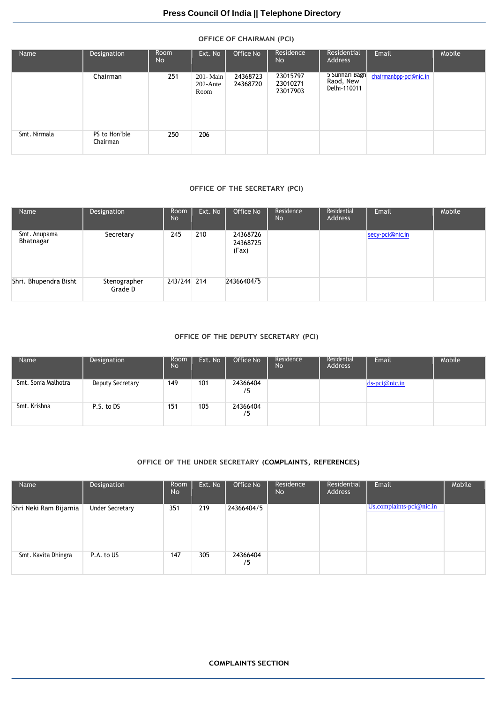## **OFFICE OF CHAIRMAN (PCI)**

| Name         | Designation               | Room<br>No | Ext. No                         | Office No            | Residence<br>No                  | Residential<br>Address                      | Email                  | Mobile |
|--------------|---------------------------|------------|---------------------------------|----------------------|----------------------------------|---------------------------------------------|------------------------|--------|
|              | Chairman                  | 251        | 201-Main<br>$202$ -Ante<br>Room | 24368723<br>24368720 | 23015797<br>23010271<br>23017903 | 5 Sunhari Bagh<br>Raod, New<br>Delhi-110011 | chairmanbpp-pci@nic.in |        |
| Smt. Nirmala | PS to Hon'ble<br>Chairman | 250        | 206                             |                      |                                  |                                             |                        |        |

## **OFFICE OF THE SECRETARY (PCI)**

| Name                      | Designation             | Room<br><b>No</b> | Ext. No | Office No                     | Residence<br><b>No</b> | Residential<br>Address | Email           | Mobile |
|---------------------------|-------------------------|-------------------|---------|-------------------------------|------------------------|------------------------|-----------------|--------|
| Smt. Anupama<br>Bhatnagar | Secretary               | 245               | 210     | 24368726<br>24368725<br>(Fax) |                        |                        | secy-pci@nic.in |        |
| Shri. Bhupendra Bisht     | Stenographer<br>Grade D | 243/244 214       |         | 2436640475                    |                        |                        |                 |        |

#### **OFFICE OF THE DEPUTY SECRETARY (PCI)**

| Name                | Designation      | Room<br><b>No</b> | Ext. No | Office No      | Residence<br><b>No</b> | Residential<br><b>Address</b> | Email            | Mobile |
|---------------------|------------------|-------------------|---------|----------------|------------------------|-------------------------------|------------------|--------|
| Smt. Sonia Malhotra | Deputy Secretary | 149               | 101     | 24366404<br>′5 |                        |                               | $ds$ -pci@nic.in |        |
| Smt. Krishna        | P.S. to DS       | 151               | 105     | 24366404<br>/5 |                        |                               |                  |        |

## **OFFICE OF THE UNDER SECRETARY (COMPLAINTS, REFERENCES)**

| Name                   | Designation            | Room<br><b>No</b> | Ext. No | Office No      | Residence<br><b>No</b> | Residential<br>Address | Email                           | Mobile |
|------------------------|------------------------|-------------------|---------|----------------|------------------------|------------------------|---------------------------------|--------|
| Shri Neki Ram Bijarnia | <b>Under Secretary</b> | 351               | 219     | 24366404/5     |                        |                        | $Us$ .complaints-pci $@$ nic.in |        |
| Smt. Kavita Dhingra    | P.A. to US             | 147               | 305     | 24366404<br>/5 |                        |                        |                                 |        |

#### **COMPLAINTS SECTION**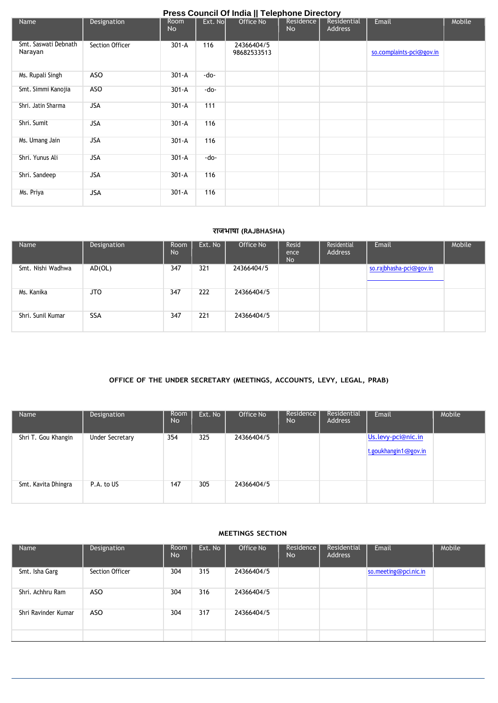|                                 | Press Council Of India    Telephone Directory |                   |          |                           |                        |                        |                          |        |  |  |  |  |  |
|---------------------------------|-----------------------------------------------|-------------------|----------|---------------------------|------------------------|------------------------|--------------------------|--------|--|--|--|--|--|
| Name                            | Designation                                   | Room<br><b>No</b> | Ext. Nol | Office No                 | Residence<br><b>No</b> | Residential<br>Address | Email                    | Mobile |  |  |  |  |  |
| Smt. Saswati Debnath<br>Narayan | Section Officer                               | $301 - A$         | 116      | 24366404/5<br>98682533513 |                        |                        | so.complaints-pci@gov.in |        |  |  |  |  |  |
| Ms. Rupali Singh                | <b>ASO</b>                                    | $301 - A$         | -do-     |                           |                        |                        |                          |        |  |  |  |  |  |
| Smt. Simmi Kanojia              | <b>ASO</b>                                    | $301 - A$         | $-do-$   |                           |                        |                        |                          |        |  |  |  |  |  |
| Shri. Jatin Sharma              | <b>JSA</b>                                    | $301 - A$         | 111      |                           |                        |                        |                          |        |  |  |  |  |  |
| Shri. Sumit                     | <b>JSA</b>                                    | $301 - A$         | 116      |                           |                        |                        |                          |        |  |  |  |  |  |
| Ms. Umang Jain                  | <b>JSA</b>                                    | $301 - A$         | 116      |                           |                        |                        |                          |        |  |  |  |  |  |
| Shri. Yunus Ali                 | <b>JSA</b>                                    | $301 - A$         | -do-     |                           |                        |                        |                          |        |  |  |  |  |  |
| Shri. Sandeep                   | <b>JSA</b>                                    | $301 - A$         | 116      |                           |                        |                        |                          |        |  |  |  |  |  |
| Ms. Priya                       | <b>JSA</b>                                    | $301 - A$         | 116      |                           |                        |                        |                          |        |  |  |  |  |  |

## **राजभाषा (RAJBHASHA)**

| Name              | Designation | <b>Room</b><br><b>No</b> | Ext. No | Office No  | Resid<br>ence<br><b>No</b> | Residential<br><b>Address</b> | Email                   | Mobile |
|-------------------|-------------|--------------------------|---------|------------|----------------------------|-------------------------------|-------------------------|--------|
| Smt. Nishi Wadhwa | AD(OL)      | 347                      | 321     | 24366404/5 |                            |                               | so.rajbhasha-pci@gov.in |        |
| Ms. Kanika        | <b>JTO</b>  | 347                      | 222     | 24366404/5 |                            |                               |                         |        |
| Shri, Sunil Kumar | <b>SSA</b>  | 347                      | 221     | 24366404/5 |                            |                               |                         |        |

## **OFFICE OF THE UNDER SECRETARY (MEETINGS, ACCOUNTS, LEVY, LEGAL, PRAB)**

| Name                | Designation            | Room<br><b>No</b> | Ext. No | Office No  | Residence<br><b>No</b> | Residential<br>Address | Email                | Mobile |
|---------------------|------------------------|-------------------|---------|------------|------------------------|------------------------|----------------------|--------|
| Shri T. Gou Khangin | <b>Under Secretary</b> | 354               | 325     | 24366404/5 |                        |                        | Us.levy-pci@nic.in   |        |
|                     |                        |                   |         |            |                        |                        | t.goukhangin1@gov.in |        |
| Smt. Kavita Dhingra | P.A. to US             | 147               | 305     | 24366404/5 |                        |                        |                      |        |

## **MEETINGS SECTION**

| Name                | Designation     | Room<br><b>No</b> | Ext. No | Office No  | Residence<br><b>No</b> | Residential<br>Address | Email                 | Mobile |
|---------------------|-----------------|-------------------|---------|------------|------------------------|------------------------|-----------------------|--------|
| Smt. Isha Garg      | Section Officer | 304               | 315     | 24366404/5 |                        |                        | so.meeting@pci.nic.in |        |
| Shri, Achhru Ram    | <b>ASO</b>      | 304               | 316     | 24366404/5 |                        |                        |                       |        |
| Shri Ravinder Kumar | <b>ASO</b>      | 304               | 317     | 24366404/5 |                        |                        |                       |        |
|                     |                 |                   |         |            |                        |                        |                       |        |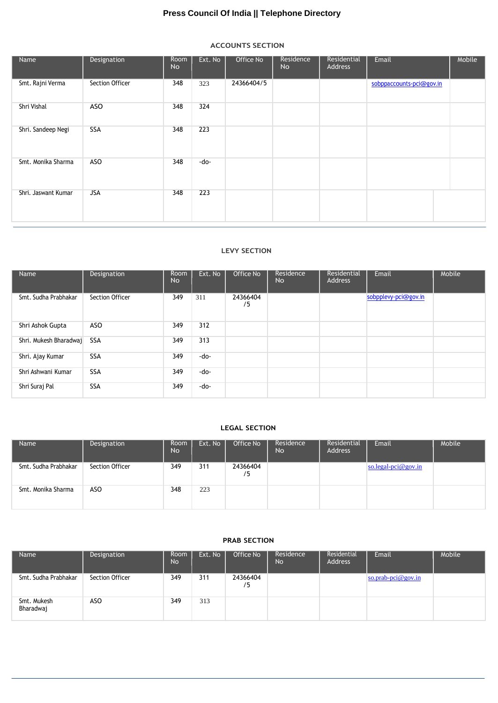# **Press Council Of India || Telephone Directory**

## **ACCOUNTS SECTION**

| Name                | Designation     | Room<br>No | Ext. No | Office No  | Residence<br><b>No</b> | Residential<br>Address | Email                    | Mobile |
|---------------------|-----------------|------------|---------|------------|------------------------|------------------------|--------------------------|--------|
| Smt. Rajni Verma    | Section Officer | 348        | 323     | 24366404/5 |                        |                        | sobppaccounts-pci@gov.in |        |
| Shri Vishal         | ASO             | 348        | 324     |            |                        |                        |                          |        |
| Shri. Sandeep Negi  | <b>SSA</b>      | 348        | 223     |            |                        |                        |                          |        |
| Smt. Monika Sharma  | ASO             | 348        | -do-    |            |                        |                        |                          |        |
| Shri. Jaswant Kumar | <b>JSA</b>      | 348        | 223     |            |                        |                        |                          |        |

#### **LEVY SECTION**

| Name                   | Designation     | Room<br><b>No</b> | Ext. No | Office No      | Residence<br><b>No</b> | Residential<br>Address | Email                | Mobile |
|------------------------|-----------------|-------------------|---------|----------------|------------------------|------------------------|----------------------|--------|
| Smt. Sudha Prabhakar   | Section Officer | 349               | 311     | 24366404<br>/5 |                        |                        | sobpplevy-pci@gov.in |        |
| Shri Ashok Gupta       | ASO             | 349               | 312     |                |                        |                        |                      |        |
| Shri. Mukesh Bharadwaj | <b>SSA</b>      | 349               | 313     |                |                        |                        |                      |        |
| Shri. Ajay Kumar       | <b>SSA</b>      | 349               | -do-    |                |                        |                        |                      |        |
| Shri Ashwani Kumar     | <b>SSA</b>      | 349               | -do-    |                |                        |                        |                      |        |
| Shri Suraj Pal         | <b>SSA</b>      | 349               | -do-    |                |                        |                        |                      |        |

## **LEGAL SECTION**

| Name                 | Designation     | Room<br><b>No</b> | Ext. No | Office No      | Residence<br><b>No</b> | Residential<br><b>Address</b> | Email               | Mobile |
|----------------------|-----------------|-------------------|---------|----------------|------------------------|-------------------------------|---------------------|--------|
| Smt. Sudha Prabhakar | Section Officer | 349               | 311     | 24366404<br>′5 |                        |                               | so.legal-pci@gov.in |        |
| Smt. Monika Sharma   | ASO             | 348               | 223     |                |                        |                               |                     |        |

## **PRAB SECTION**

| Name                     | Designation     | Room<br><b>No</b> | Ext. No | Office No      | Residence<br>No | Residential<br>Address | Email              | Mobile |
|--------------------------|-----------------|-------------------|---------|----------------|-----------------|------------------------|--------------------|--------|
| Smt. Sudha Prabhakar     | Section Officer | 349               | 311     | 24366404<br>٬5 |                 |                        | so.prab-pci@gov.in |        |
| Smt. Mukesh<br>Bharadwaj | ASO             | 349               | 313     |                |                 |                        |                    |        |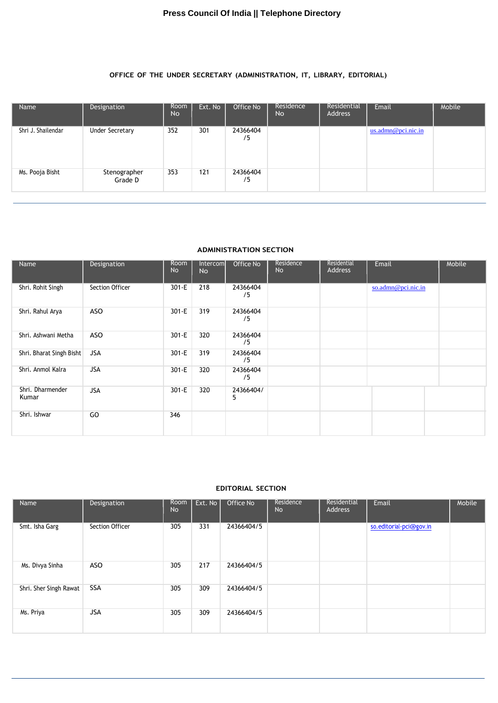## **OFFICE OF THE UNDER SECRETARY (ADMINISTRATION, IT, LIBRARY, EDITORIAL)**

| Name               | Designation             | Room<br><b>No</b> | Ext. No | Office No      | Residence<br><b>No</b> | Residential<br>Address | Email                 | Mobile |
|--------------------|-------------------------|-------------------|---------|----------------|------------------------|------------------------|-----------------------|--------|
| Shri J. Shailendar | <b>Under Secretary</b>  | 352               | 301     | 24366404<br>/5 |                        |                        | $us.$ admn@pci.nic.in |        |
| Ms. Pooja Bisht    | Stenographer<br>Grade D | 353               | 121     | 24366404<br>/5 |                        |                        |                       |        |

## **ADMINISTRATION SECTION**

| Name                      | Designation     | Room<br><b>No</b> | Intercom<br><b>No</b> | Office No      | Residence<br><b>No</b> | Residential<br>Address | Email              | Mobile |
|---------------------------|-----------------|-------------------|-----------------------|----------------|------------------------|------------------------|--------------------|--------|
| Shri. Rohit Singh         | Section Officer | $301 - E$         | 218                   | 24366404<br>/5 |                        |                        | so.admn@pci.nic.in |        |
| Shri. Rahul Arya          | ASO             | $301-E$           | 319                   | 24366404<br>75 |                        |                        |                    |        |
| Shri. Ashwani Metha       | ASO             | $301 - E$         | 320                   | 24366404<br>/5 |                        |                        |                    |        |
| Shri. Bharat Singh Bisht  | JSA             | $301-E$           | 319                   | 24366404<br>/5 |                        |                        |                    |        |
| Shri. Anmol Kalra         | <b>JSA</b>      | $301-E$           | 320                   | 24366404<br>/5 |                        |                        |                    |        |
| Shri. Dharmender<br>Kumar | <b>JSA</b>      | $301-E$           | 320                   | 24366404/<br>5 |                        |                        |                    |        |
| Shri. Ishwar              | GO              | 346               |                       |                |                        |                        |                    |        |

## **EDITORIAL SECTION**

| Name                   | Designation     | Room<br><b>No</b> | Ext. No | Office No  | Residence<br><b>No</b> | Residential<br>Address | Email                   | Mobile |
|------------------------|-----------------|-------------------|---------|------------|------------------------|------------------------|-------------------------|--------|
| Smt. Isha Garg         | Section Officer | 305               | 331     | 24366404/5 |                        |                        | so.editorial-pci@gov.in |        |
| Ms. Divya Sinha        | ASO             | 305               | 217     | 24366404/5 |                        |                        |                         |        |
| Shri. Sher Singh Rawat | <b>SSA</b>      | 305               | 309     | 24366404/5 |                        |                        |                         |        |
| Ms. Priya              | <b>JSA</b>      | 305               | 309     | 24366404/5 |                        |                        |                         |        |